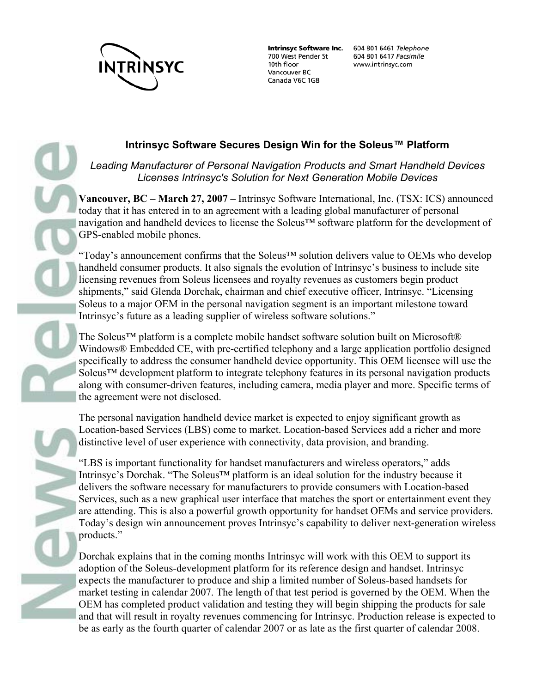

**Intrinsyc Software Inc.** 700 West Pender St 10th floor Vancouver BC Canada V6C 1G8

604 801 6461 Telephone 604 801 6417 Facsimile www.intrinsyc.com

# **Intrinsyc Software Secures Design Win for the Soleus™ Platform**

*Leading Manufacturer of Personal Navigation Products and Smart Handheld Devices Licenses Intrinsyc's Solution for Next Generation Mobile Devices*

**Vancouver, BC – March 27, 2007 –** Intrinsyc Software International, Inc. (TSX: ICS) announced today that it has entered in to an agreement with a leading global manufacturer of personal navigation and handheld devices to license the Soleus™ software platform for the development of GPS-enabled mobile phones.

"Today's announcement confirms that the Soleus™ solution delivers value to OEMs who develop handheld consumer products. It also signals the evolution of Intrinsyc's business to include site licensing revenues from Soleus licensees and royalty revenues as customers begin product shipments," said Glenda Dorchak, chairman and chief executive officer, Intrinsyc. "Licensing Soleus to a major OEM in the personal navigation segment is an important milestone toward Intrinsyc's future as a leading supplier of wireless software solutions."

The Soleus<sup>™</sup> platform is a complete mobile handset software solution built on Microsoft® Windows® Embedded CE, with pre-certified telephony and a large application portfolio designed specifically to address the consumer handheld device opportunity. This OEM licensee will use the Soleus<sup>™</sup> development platform to integrate telephony features in its personal navigation products along with consumer-driven features, including camera, media player and more. Specific terms of the agreement were not disclosed.

The personal navigation handheld device market is expected to enjoy significant growth as Location-based Services (LBS) come to market. Location-based Services add a richer and more distinctive level of user experience with connectivity, data provision, and branding.

"LBS is important functionality for handset manufacturers and wireless operators," adds Intrinsyc's Dorchak. "The Soleus™ platform is an ideal solution for the industry because it delivers the software necessary for manufacturers to provide consumers with Location-based Services, such as a new graphical user interface that matches the sport or entertainment event they are attending. This is also a powerful growth opportunity for handset OEMs and service providers. Today's design win announcement proves Intrinsyc's capability to deliver next-generation wireless products."

Dorchak explains that in the coming months Intrinsyc will work with this OEM to support its adoption of the Soleus-development platform for its reference design and handset. Intrinsyc expects the manufacturer to produce and ship a limited number of Soleus-based handsets for market testing in calendar 2007. The length of that test period is governed by the OEM. When the OEM has completed product validation and testing they will begin shipping the products for sale and that will result in royalty revenues commencing for Intrinsyc. Production release is expected to be as early as the fourth quarter of calendar 2007 or as late as the first quarter of calendar 2008.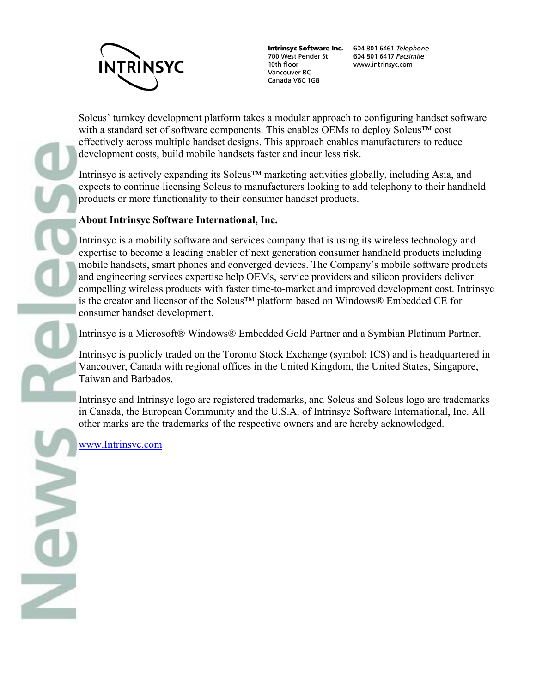

700 West Pender St 10th floor Vancouver BC Canada V6C 1G8

Intrinsyc Software Inc. 604 801 6461 Telephone 604 801 6417 Facsimile www.intrinsyc.com

Soleus' turnkey development platform takes a modular approach to configuring handset software with a standard set of software components. This enables OEMs to deploy Soleus™ cost effectively across multiple handset designs. This approach enables manufacturers to reduce development costs, build mobile handsets faster and incur less risk.

Intrinsyc is actively expanding its Soleus™ marketing activities globally, including Asia, and expects to continue licensing Soleus to manufacturers looking to add telephony to their handheld products or more functionality to their consumer handset products.

# **About Intrinsyc Software International, Inc.**

Intrinsyc is a mobility software and services company that is using its wireless technology and expertise to become a leading enabler of next generation consumer handheld products including mobile handsets, smart phones and converged devices. The Company's mobile software products and engineering services expertise help OEMs, service providers and silicon providers deliver compelling wireless products with faster time-to-market and improved development cost. Intrinsyc is the creator and licensor of the Soleus™ platform based on Windows® Embedded CE for consumer handset development.

Intrinsyc is a Microsoft® Windows® Embedded Gold Partner and a Symbian Platinum Partner.

Intrinsyc is publicly traded on the Toronto Stock Exchange (symbol: ICS) and is headquartered in Vancouver, Canada with regional offices in the United Kingdom, the United States, Singapore, Taiwan and Barbados.

Intrinsyc and Intrinsyc logo are registered trademarks, and Soleus and Soleus logo are trademarks in Canada, the European Community and the U.S.A. of Intrinsyc Software International, Inc. All other marks are the trademarks of the respective owners and are hereby acknowledged.

www.Intrinsyc.com

 $\overline{\phantom{a}}$